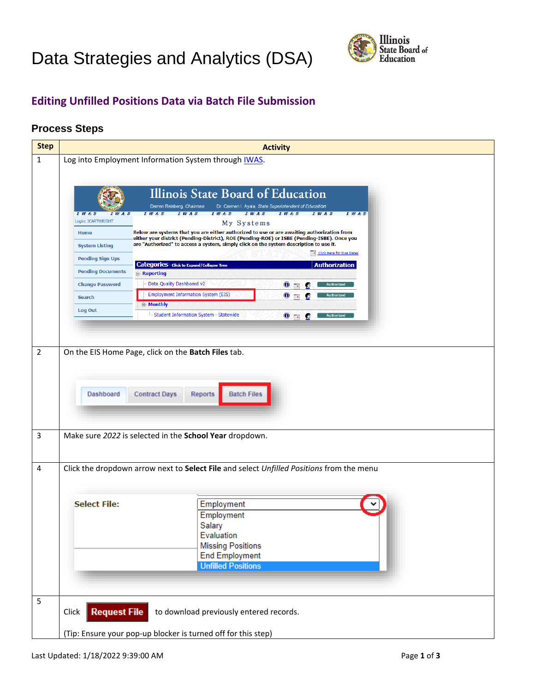## Data Strategies and Analytics (DSA)



## **Editing Unfilled Positions Data via Batch File Submission**

## **Process Steps**

| <b>Step</b>    | <b>Activity</b>                                                                                                                                                                                                                                                                             |                                                                                                                                   |  |  |  |
|----------------|---------------------------------------------------------------------------------------------------------------------------------------------------------------------------------------------------------------------------------------------------------------------------------------------|-----------------------------------------------------------------------------------------------------------------------------------|--|--|--|
| $\mathbf{1}$   | Log into Employment Information System through IWAS.                                                                                                                                                                                                                                        |                                                                                                                                   |  |  |  |
|                |                                                                                                                                                                                                                                                                                             |                                                                                                                                   |  |  |  |
|                |                                                                                                                                                                                                                                                                                             |                                                                                                                                   |  |  |  |
|                |                                                                                                                                                                                                                                                                                             | <b>Illinois State Board of Education</b>                                                                                          |  |  |  |
|                | IWAS                                                                                                                                                                                                                                                                                        | Darren Reisberg, Chairman<br>Dr. Carmen I. Ayala, State Superintendent of Education<br>IWAS<br>IWA<br>IWA<br>IWAS<br>IWAS<br>IWAS |  |  |  |
|                | Login: JCARTWRIGHT                                                                                                                                                                                                                                                                          | My Systems                                                                                                                        |  |  |  |
|                | Below are systems that you are either authorized to use or are awaiting authorization from<br>Home<br>either your district (Pending-District), ROE (Pending-ROE) or ISBE (Pending-ISBE). Once you<br>are "Authorized" to access a system, simply click on the system description to use it. |                                                                                                                                   |  |  |  |
|                | <b>System Listing</b>                                                                                                                                                                                                                                                                       | TH Click Here for Due Dates                                                                                                       |  |  |  |
|                | <b>Pending Sign Ups</b>                                                                                                                                                                                                                                                                     | <b>Categories</b> - Click to Expand/Collapse Tree<br>Authorization                                                                |  |  |  |
|                | <b>Pending Documents</b>                                                                                                                                                                                                                                                                    | <b>E</b> Reporting                                                                                                                |  |  |  |
|                | <b>Change Password</b>                                                                                                                                                                                                                                                                      | Data Quality Dashboard v2<br>⊕<br>Authorizec<br><b>Employment Information System (EIS)</b><br>$\bf \bm \Theta$                    |  |  |  |
|                | <b>Search</b>                                                                                                                                                                                                                                                                               | <b>E</b> Monthly                                                                                                                  |  |  |  |
|                | Log Out                                                                                                                                                                                                                                                                                     | Student Information System - Statewide<br>$\bullet$ $\overline{\bullet}$<br>63                                                    |  |  |  |
|                |                                                                                                                                                                                                                                                                                             |                                                                                                                                   |  |  |  |
|                |                                                                                                                                                                                                                                                                                             |                                                                                                                                   |  |  |  |
| $\overline{2}$ |                                                                                                                                                                                                                                                                                             | On the EIS Home Page, click on the Batch Files tab.                                                                               |  |  |  |
|                |                                                                                                                                                                                                                                                                                             |                                                                                                                                   |  |  |  |
|                |                                                                                                                                                                                                                                                                                             |                                                                                                                                   |  |  |  |
|                | Dashboard                                                                                                                                                                                                                                                                                   | <b>Contract Days</b><br><b>Batch Files</b><br><b>Reports</b>                                                                      |  |  |  |
|                |                                                                                                                                                                                                                                                                                             |                                                                                                                                   |  |  |  |
|                |                                                                                                                                                                                                                                                                                             |                                                                                                                                   |  |  |  |
| 3              | Make sure 2022 is selected in the School Year dropdown.                                                                                                                                                                                                                                     |                                                                                                                                   |  |  |  |
|                |                                                                                                                                                                                                                                                                                             |                                                                                                                                   |  |  |  |
|                |                                                                                                                                                                                                                                                                                             |                                                                                                                                   |  |  |  |
| 4              | Click the dropdown arrow next to Select File and select Unfilled Positions from the menu                                                                                                                                                                                                    |                                                                                                                                   |  |  |  |
|                |                                                                                                                                                                                                                                                                                             |                                                                                                                                   |  |  |  |
|                | <b>Select File:</b>                                                                                                                                                                                                                                                                         | Employment                                                                                                                        |  |  |  |
|                |                                                                                                                                                                                                                                                                                             | Employment                                                                                                                        |  |  |  |
|                |                                                                                                                                                                                                                                                                                             | Salary                                                                                                                            |  |  |  |
|                |                                                                                                                                                                                                                                                                                             | Evaluation                                                                                                                        |  |  |  |
|                |                                                                                                                                                                                                                                                                                             | <b>Missing Positions</b>                                                                                                          |  |  |  |
|                |                                                                                                                                                                                                                                                                                             | <b>End Employment</b><br><b>Unfilled Positions</b>                                                                                |  |  |  |
|                |                                                                                                                                                                                                                                                                                             |                                                                                                                                   |  |  |  |
|                |                                                                                                                                                                                                                                                                                             |                                                                                                                                   |  |  |  |
| 5              |                                                                                                                                                                                                                                                                                             |                                                                                                                                   |  |  |  |
|                | <b>Request File</b><br>Click<br>to download previously entered records.                                                                                                                                                                                                                     |                                                                                                                                   |  |  |  |
|                |                                                                                                                                                                                                                                                                                             |                                                                                                                                   |  |  |  |
|                | (Tip: Ensure your pop-up blocker is turned off for this step)                                                                                                                                                                                                                               |                                                                                                                                   |  |  |  |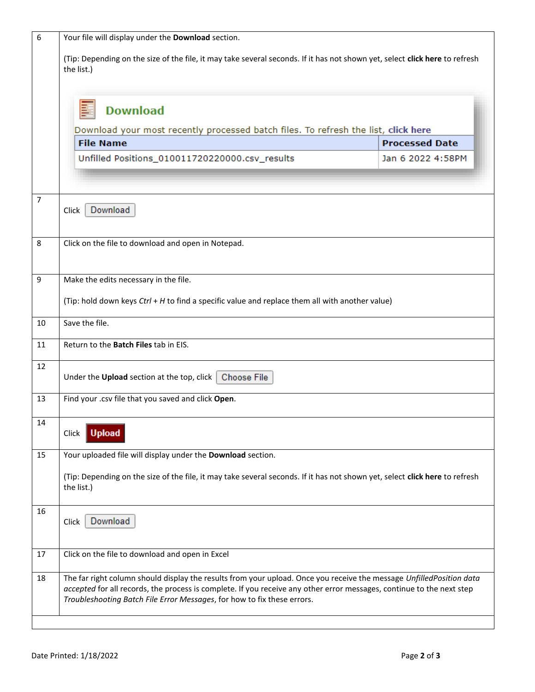| $\overline{7}$<br>8<br>9<br>10<br>11<br>12<br>13<br>14 | (Tip: Depending on the size of the file, it may take several seconds. If it has not shown yet, select click here to refresh<br>the list.)<br><b>Download</b><br>Download your most recently processed batch files. To refresh the list, click here<br><b>Processed Date</b><br><b>File Name</b><br>Unfilled Positions_010011720220000.csv_results<br>Jan 6 2022 4:58PM<br>Download<br>Click<br>Click on the file to download and open in Notepad.<br>Make the edits necessary in the file.<br>(Tip: hold down keys Ctrl + H to find a specific value and replace them all with another value) |  |  |  |  |  |
|--------------------------------------------------------|-----------------------------------------------------------------------------------------------------------------------------------------------------------------------------------------------------------------------------------------------------------------------------------------------------------------------------------------------------------------------------------------------------------------------------------------------------------------------------------------------------------------------------------------------------------------------------------------------|--|--|--|--|--|
|                                                        |                                                                                                                                                                                                                                                                                                                                                                                                                                                                                                                                                                                               |  |  |  |  |  |
|                                                        |                                                                                                                                                                                                                                                                                                                                                                                                                                                                                                                                                                                               |  |  |  |  |  |
|                                                        |                                                                                                                                                                                                                                                                                                                                                                                                                                                                                                                                                                                               |  |  |  |  |  |
|                                                        |                                                                                                                                                                                                                                                                                                                                                                                                                                                                                                                                                                                               |  |  |  |  |  |
|                                                        |                                                                                                                                                                                                                                                                                                                                                                                                                                                                                                                                                                                               |  |  |  |  |  |
|                                                        |                                                                                                                                                                                                                                                                                                                                                                                                                                                                                                                                                                                               |  |  |  |  |  |
|                                                        |                                                                                                                                                                                                                                                                                                                                                                                                                                                                                                                                                                                               |  |  |  |  |  |
|                                                        |                                                                                                                                                                                                                                                                                                                                                                                                                                                                                                                                                                                               |  |  |  |  |  |
|                                                        |                                                                                                                                                                                                                                                                                                                                                                                                                                                                                                                                                                                               |  |  |  |  |  |
|                                                        | Save the file.                                                                                                                                                                                                                                                                                                                                                                                                                                                                                                                                                                                |  |  |  |  |  |
|                                                        | Return to the <b>Batch Files</b> tab in EIS.                                                                                                                                                                                                                                                                                                                                                                                                                                                                                                                                                  |  |  |  |  |  |
|                                                        | Under the <b>Upload</b> section at the top, click $\vert$<br><b>Choose File</b>                                                                                                                                                                                                                                                                                                                                                                                                                                                                                                               |  |  |  |  |  |
|                                                        | Find your .csv file that you saved and click Open.                                                                                                                                                                                                                                                                                                                                                                                                                                                                                                                                            |  |  |  |  |  |
|                                                        | <b>Upload</b><br>Click                                                                                                                                                                                                                                                                                                                                                                                                                                                                                                                                                                        |  |  |  |  |  |
| 15                                                     | Your uploaded file will display under the Download section.                                                                                                                                                                                                                                                                                                                                                                                                                                                                                                                                   |  |  |  |  |  |
|                                                        | (Tip: Depending on the size of the file, it may take several seconds. If it has not shown yet, select click here to refresh<br>the list.)                                                                                                                                                                                                                                                                                                                                                                                                                                                     |  |  |  |  |  |
| 16                                                     | Download<br>Click                                                                                                                                                                                                                                                                                                                                                                                                                                                                                                                                                                             |  |  |  |  |  |
| 17                                                     | Click on the file to download and open in Excel                                                                                                                                                                                                                                                                                                                                                                                                                                                                                                                                               |  |  |  |  |  |
| 18                                                     | The far right column should display the results from your upload. Once you receive the message UnfilledPosition data<br>accepted for all records, the process is complete. If you receive any other error messages, continue to the next step<br>Troubleshooting Batch File Error Messages, for how to fix these errors.                                                                                                                                                                                                                                                                      |  |  |  |  |  |